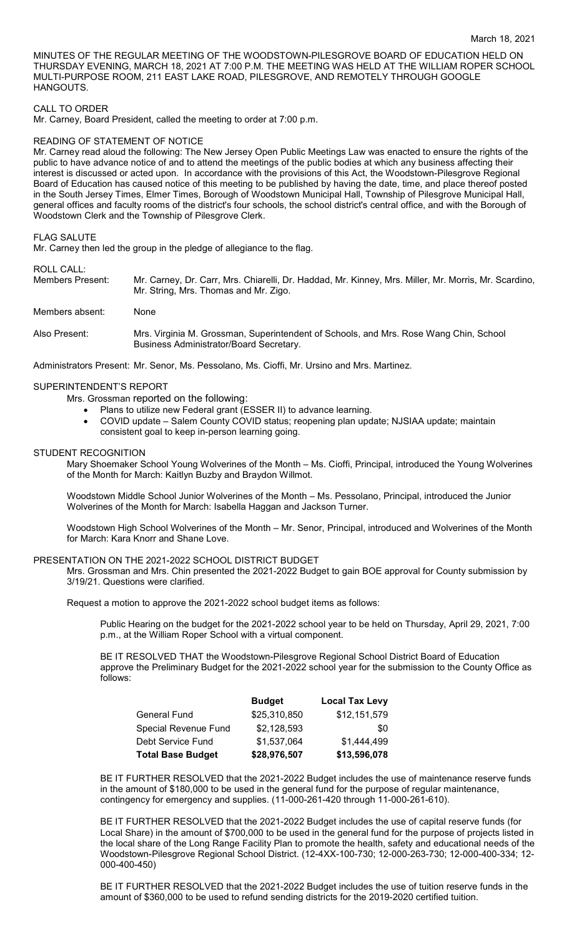MINUTES OF THE REGULAR MEETING OF THE WOODSTOWN-PILESGROVE BOARD OF EDUCATION HELD ON THURSDAY EVENING, MARCH 18, 2021 AT 7:00 P.M. THE MEETING WAS HELD AT THE WILLIAM ROPER SCHOOL MULTI-PURPOSE ROOM, 211 EAST LAKE ROAD, PILESGROVE, AND REMOTELY THROUGH GOOGLE HANGOUTS.

### CALL TO ORDER

Mr. Carney, Board President, called the meeting to order at 7:00 p.m.

### READING OF STATEMENT OF NOTICE

Mr. Carney read aloud the following: The New Jersey Open Public Meetings Law was enacted to ensure the rights of the public to have advance notice of and to attend the meetings of the public bodies at which any business affecting their interest is discussed or acted upon. In accordance with the provisions of this Act, the Woodstown-Pilesgrove Regional Board of Education has caused notice of this meeting to be published by having the date, time, and place thereof posted in the South Jersey Times, Elmer Times, Borough of Woodstown Municipal Hall, Township of Pilesgrove Municipal Hall, general offices and faculty rooms of the district's four schools, the school district's central office, and with the Borough of Woodstown Clerk and the Township of Pilesgrove Clerk.

#### FLAG SALUTE

Mr. Carney then led the group in the pledge of allegiance to the flag.

#### ROLL CALL:

Members Present: Mr. Carney, Dr. Carr, Mrs. Chiarelli, Dr. Haddad, Mr. Kinney, Mrs. Miller, Mr. Morris, Mr. Scardino, Mr. String, Mrs. Thomas and Mr. Zigo.

Members absent: None

Also Present: Mrs. Virginia M. Grossman, Superintendent of Schools, and Mrs. Rose Wang Chin, School Business Administrator/Board Secretary.

Administrators Present: Mr. Senor, Ms. Pessolano, Ms. Cioffi, Mr. Ursino and Mrs. Martinez.

## SUPERINTENDENT'S REPORT

Mrs. Grossman reported on the following:

- Plans to utilize new Federal grant (ESSER II) to advance learning.
- COVID update Salem County COVID status; reopening plan update; NJSIAA update; maintain consistent goal to keep in-person learning going.

### STUDENT RECOGNITION

Mary Shoemaker School Young Wolverines of the Month – Ms. Cioffi, Principal, introduced the Young Wolverines of the Month for March: Kaitlyn Buzby and Braydon Willmot.

Woodstown Middle School Junior Wolverines of the Month – Ms. Pessolano, Principal, introduced the Junior Wolverines of the Month for March: Isabella Haggan and Jackson Turner.

Woodstown High School Wolverines of the Month – Mr. Senor, Principal, introduced and Wolverines of the Month for March: Kara Knorr and Shane Love.

### PRESENTATION ON THE 2021-2022 SCHOOL DISTRICT BUDGET

Mrs. Grossman and Mrs. Chin presented the 2021-2022 Budget to gain BOE approval for County submission by 3/19/21. Questions were clarified.

Request a motion to approve the 2021-2022 school budget items as follows:

Public Hearing on the budget for the 2021-2022 school year to be held on Thursday, April 29, 2021, 7:00 p.m., at the William Roper School with a virtual component.

BE IT RESOLVED THAT the Woodstown-Pilesgrove Regional School District Board of Education approve the Preliminary Budget for the 2021-2022 school year for the submission to the County Office as follows:

|                          | <b>Budget</b> | <b>Local Tax Levy</b> |
|--------------------------|---------------|-----------------------|
| <b>General Fund</b>      | \$25,310,850  | \$12,151,579          |
| Special Revenue Fund     | \$2,128,593   | \$0                   |
| Debt Service Fund        | \$1,537,064   | \$1,444,499           |
| <b>Total Base Budget</b> | \$28,976,507  | \$13,596,078          |

BE IT FURTHER RESOLVED that the 2021-2022 Budget includes the use of maintenance reserve funds in the amount of \$180,000 to be used in the general fund for the purpose of regular maintenance, contingency for emergency and supplies. (11-000-261-420 through 11-000-261-610).

BE IT FURTHER RESOLVED that the 2021-2022 Budget includes the use of capital reserve funds (for Local Share) in the amount of \$700,000 to be used in the general fund for the purpose of projects listed in the local share of the Long Range Facility Plan to promote the health, safety and educational needs of the Woodstown-Pilesgrove Regional School District. (12-4XX-100-730; 12-000-263-730; 12-000-400-334; 12- 000-400-450)

BE IT FURTHER RESOLVED that the 2021-2022 Budget includes the use of tuition reserve funds in the amount of \$360,000 to be used to refund sending districts for the 2019-2020 certified tuition.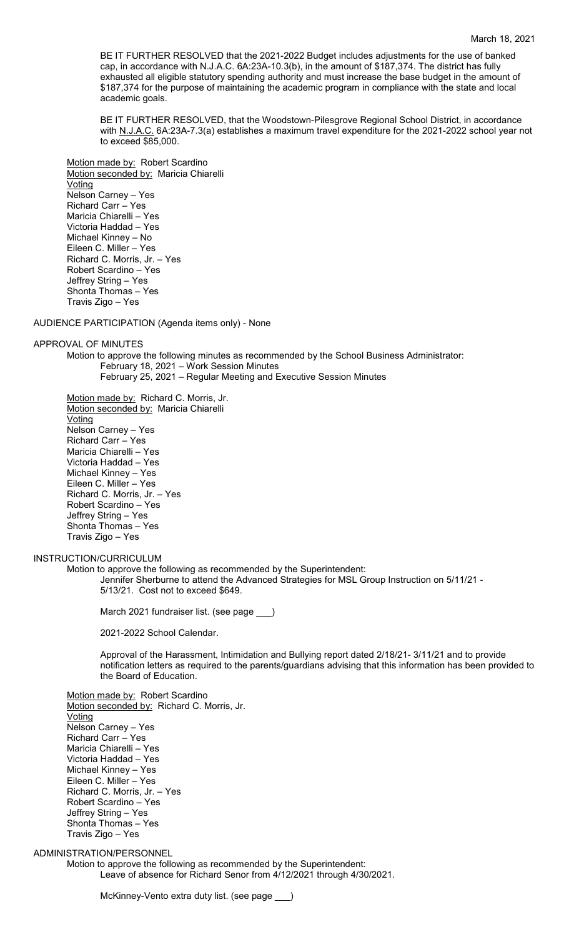BE IT FURTHER RESOLVED that the 2021-2022 Budget includes adjustments for the use of banked cap, in accordance with N.J.A.C. 6A:23A-10.3(b), in the amount of \$187,374. The district has fully exhausted all eligible statutory spending authority and must increase the base budget in the amount of \$187,374 for the purpose of maintaining the academic program in compliance with the state and local academic goals.

BE IT FURTHER RESOLVED, that the Woodstown-Pilesgrove Regional School District, in accordance with N.J.A.C. 6A:23A-7.3(a) establishes a maximum travel expenditure for the 2021-2022 school year not to exceed \$85,000.

Motion made by: Robert Scardino Motion seconded by: Maricia Chiarelli **Voting** Nelson Carney – Yes Richard Carr – Yes Maricia Chiarelli – Yes Victoria Haddad – Yes Michael Kinney – No Eileen C. Miller – Yes Richard C. Morris, Jr. – Yes Robert Scardino – Yes Jeffrey String – Yes Shonta Thomas – Yes Travis Zigo – Yes

AUDIENCE PARTICIPATION (Agenda items only) - None

### APPROVAL OF MINUTES

Motion to approve the following minutes as recommended by the School Business Administrator: February 18, 2021 – Work Session Minutes February 25, 2021 – Regular Meeting and Executive Session Minutes

Motion made by: Richard C. Morris, Jr. Motion seconded by: Maricia Chiarelli Voting Nelson Carney – Yes Richard Carr – Yes Maricia Chiarelli – Yes Victoria Haddad – Yes Michael Kinney – Yes Eileen C. Miller – Yes Richard C. Morris, Jr. – Yes Robert Scardino – Yes Jeffrey String – Yes Shonta Thomas – Yes Travis Zigo – Yes

### INSTRUCTION/CURRICULUM

Motion to approve the following as recommended by the Superintendent: Jennifer Sherburne to attend the Advanced Strategies for MSL Group Instruction on 5/11/21 - 5/13/21. Cost not to exceed \$649.

March 2021 fundraiser list. (see page \_\_\_)

2021-2022 School Calendar.

Approval of the Harassment, Intimidation and Bullying report dated 2/18/21- 3/11/21 and to provide notification letters as required to the parents/guardians advising that this information has been provided to the Board of Education.

Motion made by: Robert Scardino Motion seconded by: Richard C. Morris, Jr. Voting Nelson Carney – Yes Richard Carr – Yes Maricia Chiarelli – Yes Victoria Haddad – Yes Michael Kinney – Yes Eileen C. Miller – Yes Richard C. Morris, Jr. – Yes Robert Scardino – Yes Jeffrey String – Yes Shonta Thomas – Yes Travis Zigo – Yes

# ADMINISTRATION/PERSONNEL

Motion to approve the following as recommended by the Superintendent: Leave of absence for Richard Senor from 4/12/2021 through 4/30/2021.

McKinney-Vento extra duty list. (see page \_\_\_)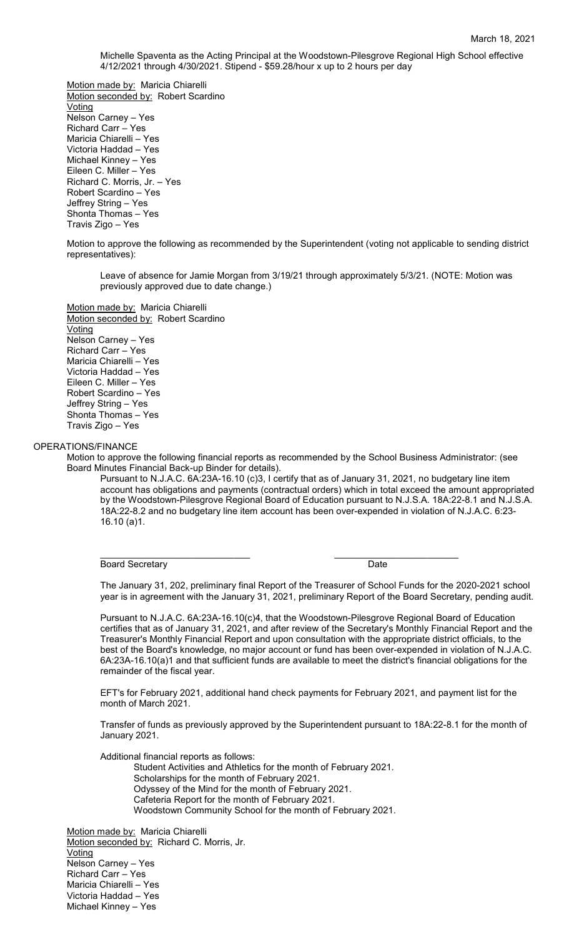Michelle Spaventa as the Acting Principal at the Woodstown-Pilesgrove Regional High School effective 4/12/2021 through 4/30/2021. Stipend - \$59.28/hour x up to 2 hours per day

Motion made by: Maricia Chiarelli Motion seconded by: Robert Scardino Voting Nelson Carney – Yes Richard Carr – Yes Maricia Chiarelli – Yes Victoria Haddad – Yes Michael Kinney – Yes Eileen C. Miller – Yes Richard C. Morris, Jr. – Yes Robert Scardino – Yes Jeffrey String – Yes Shonta Thomas – Yes Travis Zigo – Yes

Motion to approve the following as recommended by the Superintendent (voting not applicable to sending district representatives):

Leave of absence for Jamie Morgan from 3/19/21 through approximately 5/3/21. (NOTE: Motion was previously approved due to date change.)

Motion made by: Maricia Chiarelli Motion seconded by: Robert Scardino Voting Nelson Carney – Yes Richard Carr – Yes Maricia Chiarelli – Yes Victoria Haddad – Yes Eileen C. Miller – Yes Robert Scardino – Yes Jeffrey String – Yes Shonta Thomas – Yes Travis Zigo – Yes

## OPERATIONS/FINANCE

Motion to approve the following financial reports as recommended by the School Business Administrator: (see Board Minutes Financial Back-up Binder for details).

Pursuant to N.J.A.C. 6A:23A-16.10 (c)3, I certify that as of January 31, 2021, no budgetary line item account has obligations and payments (contractual orders) which in total exceed the amount appropriated by the Woodstown-Pilesgrove Regional Board of Education pursuant to N.J.S.A. 18A:22-8.1 and N.J.S.A. 18A:22-8.2 and no budgetary line item account has been over-expended in violation of N.J.A.C. 6:23- 16.10 (a)1.

\_\_\_\_\_\_\_\_\_\_\_\_\_\_\_\_\_\_\_\_\_\_\_\_\_\_\_\_\_ \_\_\_\_\_\_\_\_\_\_\_\_\_\_\_\_\_\_\_\_\_\_\_\_ Board Secretary **Date** 

The January 31, 202, preliminary final Report of the Treasurer of School Funds for the 2020-2021 school year is in agreement with the January 31, 2021, preliminary Report of the Board Secretary, pending audit.

Pursuant to N.J.A.C. 6A:23A-16.10(c)4, that the Woodstown-Pilesgrove Regional Board of Education certifies that as of January 31, 2021, and after review of the Secretary's Monthly Financial Report and the Treasurer's Monthly Financial Report and upon consultation with the appropriate district officials, to the best of the Board's knowledge, no major account or fund has been over-expended in violation of N.J.A.C. 6A:23A-16.10(a)1 and that sufficient funds are available to meet the district's financial obligations for the remainder of the fiscal year.

EFT's for February 2021, additional hand check payments for February 2021, and payment list for the month of March 2021.

Transfer of funds as previously approved by the Superintendent pursuant to 18A:22-8.1 for the month of January 2021.

Additional financial reports as follows:

Student Activities and Athletics for the month of February 2021. Scholarships for the month of February 2021. Odyssey of the Mind for the month of February 2021. Cafeteria Report for the month of February 2021. Woodstown Community School for the month of February 2021.

Motion made by: Maricia Chiarelli Motion seconded by: Richard C. Morris, Jr. **Voting** Nelson Carney – Yes Richard Carr – Yes Maricia Chiarelli – Yes Victoria Haddad – Yes Michael Kinney – Yes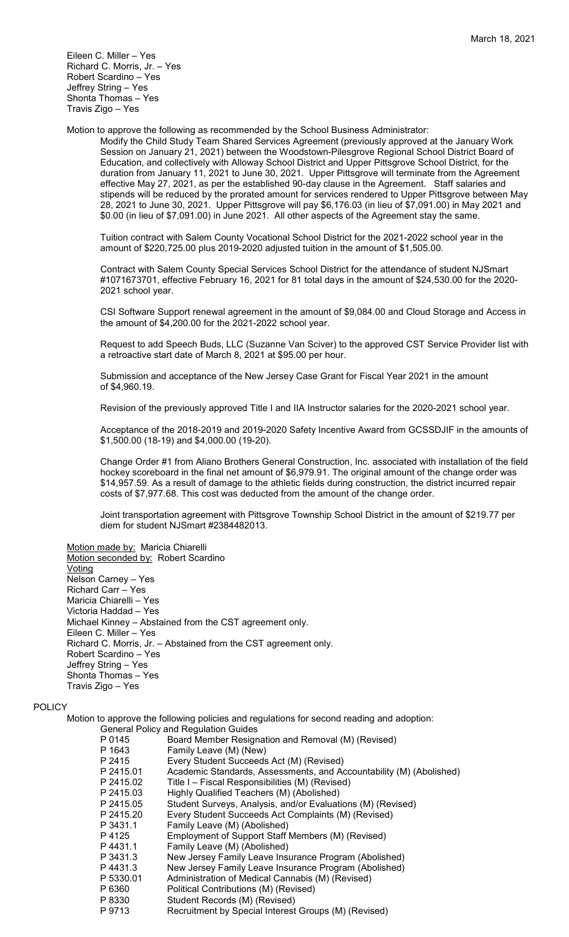Motion to approve the following as recommended by the School Business Administrator:

Modify the Child Study Team Shared Services Agreement (previously approved at the January Work Session on January 21, 2021) between the Woodstown-Pilesgrove Regional School District Board of Education, and collectively with Alloway School District and Upper Pittsgrove School District, for the duration from January 11, 2021 to June 30, 2021. Upper Pittsgrove will terminate from the Agreement effective May 27, 2021, as per the established 90-day clause in the Agreement. Staff salaries and stipends will be reduced by the prorated amount for services rendered to Upper Pittsgrove between May 28, 2021 to June 30, 2021. Upper Pittsgrove will pay \$6,176.03 (in lieu of \$7,091.00) in May 2021 and \$0.00 (in lieu of \$7,091.00) in June 2021. All other aspects of the Agreement stay the same.

Tuition contract with Salem County Vocational School District for the 2021-2022 school year in the amount of \$220,725.00 plus 2019-2020 adjusted tuition in the amount of \$1,505.00.

Contract with Salem County Special Services School District for the attendance of student NJSmart #1071673701, effective February 16, 2021 for 81 total days in the amount of \$24,530.00 for the 2020- 2021 school year.

CSI Software Support renewal agreement in the amount of \$9,084.00 and Cloud Storage and Access in the amount of \$4,200.00 for the 2021-2022 school year.

Request to add Speech Buds, LLC (Suzanne Van Sciver) to the approved CST Service Provider list with a retroactive start date of March 8, 2021 at \$95.00 per hour.

Submission and acceptance of the New Jersey Case Grant for Fiscal Year 2021 in the amount of \$4,960.19.

Revision of the previously approved Title I and IIA Instructor salaries for the 2020-2021 school year.

Acceptance of the 2018-2019 and 2019-2020 Safety Incentive Award from GCSSDJIF in the amounts of \$1,500.00 (18-19) and \$4,000.00 (19-20).

Change Order #1 from Aliano Brothers General Construction, Inc. associated with installation of the field hockey scoreboard in the final net amount of \$6,979.91. The original amount of the change order was \$14,957.59. As a result of damage to the athletic fields during construction, the district incurred repair costs of \$7,977.68. This cost was deducted from the amount of the change order.

Joint transportation agreement with Pittsgrove Township School District in the amount of \$219.77 per diem for student NJSmart #2384482013.

Motion made by: Maricia Chiarelli

Motion seconded by: Robert Scardino **Voting** Nelson Carney – Yes Richard Carr – Yes Maricia Chiarelli – Yes Victoria Haddad – Yes Michael Kinney – Abstained from the CST agreement only. Eileen C. Miller – Yes Richard C. Morris, Jr. – Abstained from the CST agreement only. Robert Scardino – Yes Jeffrey String – Yes Shonta Thomas – Yes Travis Zigo – Yes

## POLICY

Motion to approve the following policies and regulations for second reading and adoption:

|           | <b>General Policy and Regulation Guides</b>                         |
|-----------|---------------------------------------------------------------------|
| P 0145    | Board Member Resignation and Removal (M) (Revised)                  |
| P 1643    | Family Leave (M) (New)                                              |
| P 2415    | Every Student Succeeds Act (M) (Revised)                            |
| P 2415.01 | Academic Standards, Assessments, and Accountability (M) (Abolished) |
| P 2415.02 | Title I – Fiscal Responsibilities (M) (Revised)                     |
| P 2415.03 | Highly Qualified Teachers (M) (Abolished)                           |
| P 2415.05 | Student Surveys, Analysis, and/or Evaluations (M) (Revised)         |
| P 2415.20 | Every Student Succeeds Act Complaints (M) (Revised)                 |
| P 3431.1  | Family Leave (M) (Abolished)                                        |
| P 4125    | Employment of Support Staff Members (M) (Revised)                   |
| P4431.1   | Family Leave (M) (Abolished)                                        |
| P 3431.3  | New Jersey Family Leave Insurance Program (Abolished)               |
| P 4431.3  | New Jersey Family Leave Insurance Program (Abolished)               |
| P 5330.01 | Administration of Medical Cannabis (M) (Revised)                    |
| P 6360    | Political Contributions (M) (Revised)                               |
| P 8330    | Student Records (M) (Revised)                                       |
| P 9713    | Recruitment by Special Interest Groups (M) (Revised)                |
|           |                                                                     |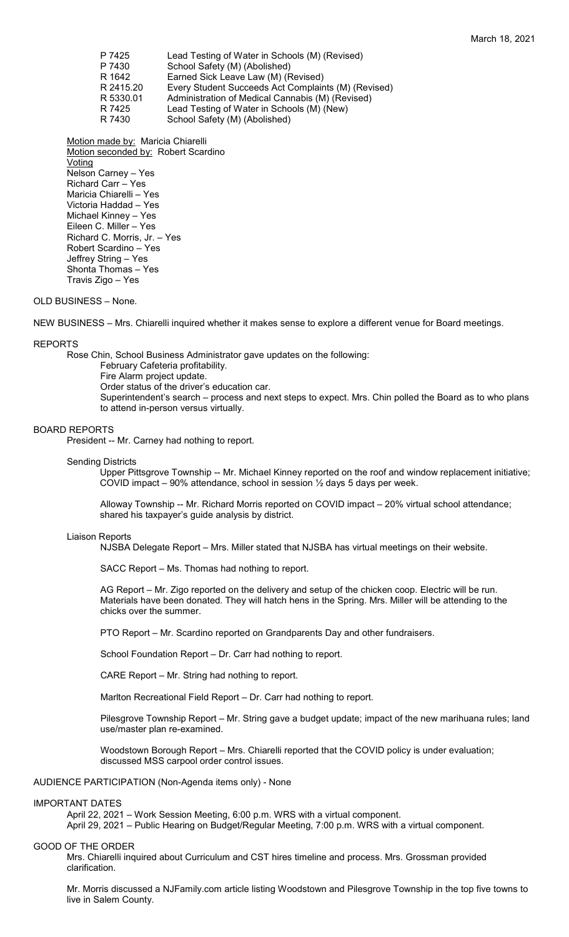| P 7425    | Lead Testing of Water in Schools (M) (Revised)      |
|-----------|-----------------------------------------------------|
| P 7430    | School Safety (M) (Abolished)                       |
| R 1642    | Earned Sick Leave Law (M) (Revised)                 |
| R 2415.20 | Every Student Succeeds Act Complaints (M) (Revised) |
| R 5330.01 | Administration of Medical Cannabis (M) (Revised)    |
| R 7425    | Lead Testing of Water in Schools (M) (New)          |
| R 7430    | School Safety (M) (Abolished)                       |
|           |                                                     |

Motion made by: Maricia Chiarelli Motion seconded by: Robert Scardino Voting Nelson Carney – Yes Richard Carr – Yes Maricia Chiarelli – Yes Victoria Haddad – Yes Michael Kinney – Yes Eileen C. Miller – Yes Richard C. Morris, Jr. – Yes Robert Scardino – Yes Jeffrey String – Yes Shonta Thomas – Yes Travis Zigo – Yes

# OLD BUSINESS – None.

NEW BUSINESS – Mrs. Chiarelli inquired whether it makes sense to explore a different venue for Board meetings.

### REPORTS

Rose Chin, School Business Administrator gave updates on the following:

February Cafeteria profitability. Fire Alarm project update. Order status of the driver's education car. Superintendent's search – process and next steps to expect. Mrs. Chin polled the Board as to who plans to attend in-person versus virtually.

### BOARD REPORTS

President -- Mr. Carney had nothing to report.

# Sending Districts

Upper Pittsgrove Township -- Mr. Michael Kinney reported on the roof and window replacement initiative; COVID impact – 90% attendance, school in session  $\frac{1}{2}$  days 5 days per week.

Alloway Township -- Mr. Richard Morris reported on COVID impact – 20% virtual school attendance; shared his taxpayer's guide analysis by district.

#### Liaison Reports

NJSBA Delegate Report – Mrs. Miller stated that NJSBA has virtual meetings on their website.

SACC Report – Ms. Thomas had nothing to report.

AG Report – Mr. Zigo reported on the delivery and setup of the chicken coop. Electric will be run. Materials have been donated. They will hatch hens in the Spring. Mrs. Miller will be attending to the chicks over the summer.

PTO Report – Mr. Scardino reported on Grandparents Day and other fundraisers.

School Foundation Report – Dr. Carr had nothing to report.

CARE Report – Mr. String had nothing to report.

Marlton Recreational Field Report – Dr. Carr had nothing to report.

Pilesgrove Township Report – Mr. String gave a budget update; impact of the new marihuana rules; land use/master plan re-examined.

Woodstown Borough Report – Mrs. Chiarelli reported that the COVID policy is under evaluation; discussed MSS carpool order control issues.

### AUDIENCE PARTICIPATION (Non-Agenda items only) - None

#### IMPORTANT DATES

April 22, 2021 – Work Session Meeting, 6:00 p.m. WRS with a virtual component.

April 29, 2021 – Public Hearing on Budget/Regular Meeting, 7:00 p.m. WRS with a virtual component.

### GOOD OF THE ORDER

Mrs. Chiarelli inquired about Curriculum and CST hires timeline and process. Mrs. Grossman provided clarification.

Mr. Morris discussed a NJFamily.com article listing Woodstown and Pilesgrove Township in the top five towns to live in Salem County.